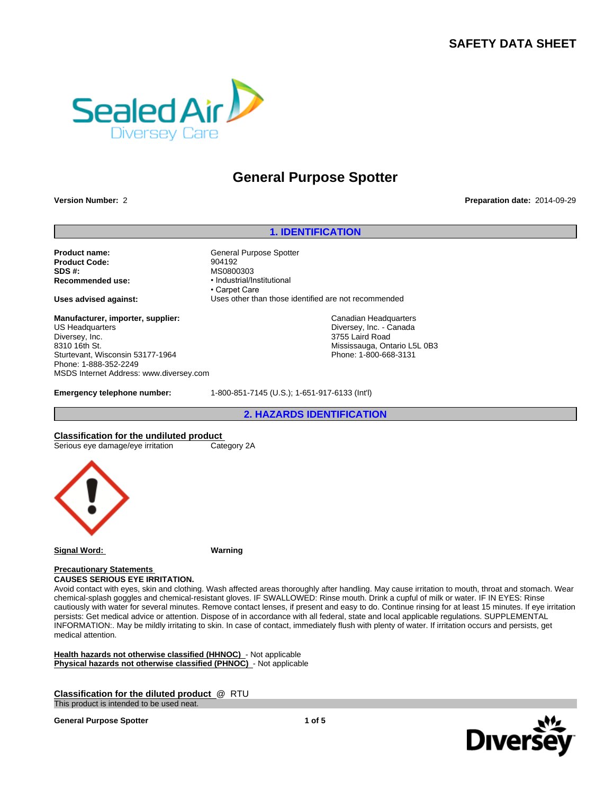# **SAFETY DATA SHEET**



# **General Purpose Spotter**

**Version Number:** 2 **Preparation date:** 2014-09-29

**Product name:** General Purpose Spotter **Product Code:** 904192 **SDS #:**<br> **Recommended use:**<br> **Recommended use:**<br> **e** Industrial/Industrial/Industrial/Industrial/Industrial/Industrial/Industrial/Industrial/Industrial/Industrial

**Manufacturer, importer, supplier:** US Headquarters Diversey, Inc. 8310 16th St. Sturtevant, Wisconsin 53177-1964 Phone: 1-888-352-2249 MSDS Internet Address: www.diversey.com

**1. IDENTIFICATION**<br> **1. IDENTIFICATION**<br>
Spotter **Recommended use:** • Industrial/Institutional • Carpet Care **Uses advised against:** Uses other than those identified are not recommended <sup>2013</sup><br>
2. Care<br>
2. Care<br>
2. Care<br>
2. Canadian Headquarters<br>
2. Canadian Headquarters<br>
2. Diversey, Inc. - Canada<br>
3. 755 Laird Road<br>
Mississauga, Ontario L5L 0B3<br>
2. Phone: 1-800-668-3131<br>
2. HAZARDS IDENTIFICATION<br>
2. HA

Canadian Headquarters Diversey, Inc. - Canada 3755 Laird Road Mississauga, Ontario L5L 0B3 Phone: 1-800-668-3131

**Emergency telephone number:** 1-800-851-7145 (U.S.); 1-651-917-6133 (Int'l)

**Classification for the undiluted product**<br>
Serious eye damage/eye irritation<br>
Category 2A Serious eye damage/eye irritation



**Signal Word: Warning**

**Precautionary Statements** 

**CAUSES SERIOUS EYE IRRITATION.**

Avoid contact with eyes, skin and clothing. Wash affected areas thoroughly after handling. May cause irritation to mouth, throat and stomach. Wear chemical-splash goggles and chemical-resistant gloves. IF SWALLOWED: Rinse mouth. Drink a cupful of milk or water. IF IN EYES: Rinse cautiously with water for several minutes. Remove contact lenses, if present and easy to do. Continue rinsing for at least 15 minutes. If eye irritation persists: Get medical advice or attention. Dispose of in accordance with all federal, state and local applicable regulations. SUPPLEMENTAL INFORMATION:. May be mildly irritating to skin. In case of contact, immediately flush with plenty of water. If irritation occurs and persists, get medical attention.

**Health hazards not otherwise classified (HHNOC)** - Not applicable **Physical hazards not otherwise classified (PHNOC)** - Not applicable

**Classification for the diluted product** @ RTU This product is intended to be used neat.

**General Purpose Spotter**

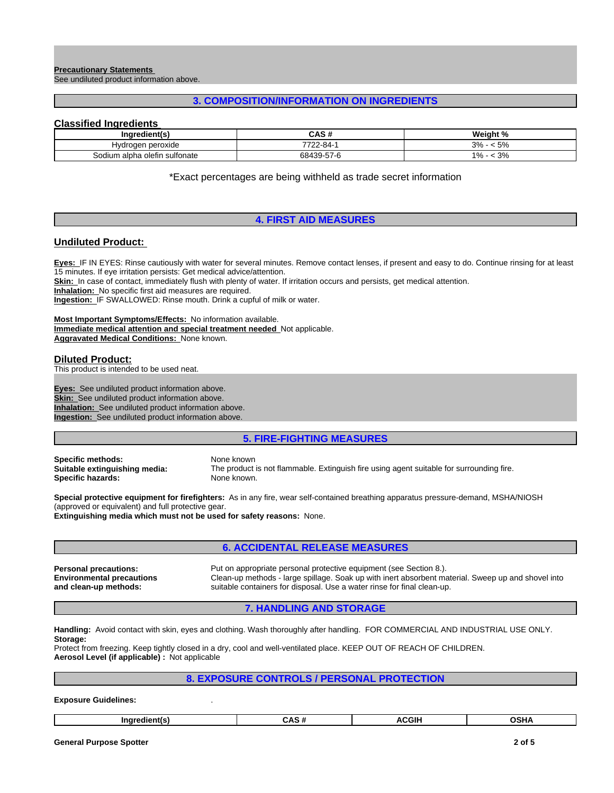#### **Precautionary Statements**  See undiluted product information above.

# **3. COMPOSITION/INFORMATION ON INGREDIENTS**

# **Classified Ingredients**

| Ingredient(s)                 | $\sim$ $\sim$ $\mu$<br>CAS # | Weight %                               |
|-------------------------------|------------------------------|----------------------------------------|
| Hydrogen peroxide             | フフハハ<br>22-84-               | F <sub>0</sub><br>n n<br>< 570<br>70 ن |
| Sodium alpha olefin sulfonate | 68439-57-6                   | $\sim$ $\sim$<br>4 Ω.<br>70- ن         |

\*Exact percentages are being withheld as trade secret information

# **4. FIRST AID MEASURES**

# **Undiluted Product:**

**Eyes:** IF IN EYES: Rinse cautiously with water for several minutes. Remove contact lenses, if present and easy to do. Continue rinsing for at least 15 minutes. If eye irritation persists: Get medical advice/attention. Skin: In case of contact, immediately flush with plenty of water. If irritation occurs and persists, get medical attention. **Inhalation:** No specific first aid measures are required. **Ingestion:** IF SWALLOWED: Rinse mouth. Drink a cupful of milk or water.

**Most Important Symptoms/Effects:** No information available. **Immediate medical attention and special treatment needed** Not applicable. **Aggravated Medical Conditions:** None known.

#### **Diluted Product:**

This product is intended to be used neat.

**Eyes:** See undiluted product information above. **Skin:** See undiluted product information above. **Inhalation:** See undiluted product information above. **Ingestion:** See undiluted product information above.

## **5. FIRE-FIGHTING MEASURES**

**Specific methods:** None known<br> **Suitable extinguishing media:** The product **Specific hazards:** 

The product is not flammable. Extinguish fire using agent suitable for surrounding fire.<br>None known.

**Special protective equipment for firefighters:** As in any fire, wear self-contained breathing apparatus pressure-demand, MSHA/NIOSH (approved or equivalent) and full protective gear.

**Extinguishing media which must not be used for safety reasons:** None.

# **6. ACCIDENTAL RELEASE MEASURES**

**Environmental precautions and clean-up methods:**

**Personal precautions:** Put on appropriate personal protective equipment (see Section 8.). Clean-up methods - large spillage. Soak up with inert absorbent material. Sweep up and shovel into suitable containers for disposal. Use a water rinse for final clean-up.

**7. HANDLING AND STORAGE**

**Handling:** Avoid contact with skin, eyes and clothing. Wash thoroughly after handling. FOR COMMERCIAL AND INDUSTRIAL USE ONLY. **Storage:**

Protect from freezing. Keep tightly closed in a dry, cool and well-ventilated place. KEEP OUT OF REACH OF CHILDREN. **Aerosol Level (if applicable) :** Not applicable

# **8. EXPOSURE CONTROLS / PERSONAL PROTECTION**

**Exposure Guidelines:** .

| CCH<br>Indredient(s<br>^`<br>אחכי<br>--<br>.<br> |
|--------------------------------------------------|
|--------------------------------------------------|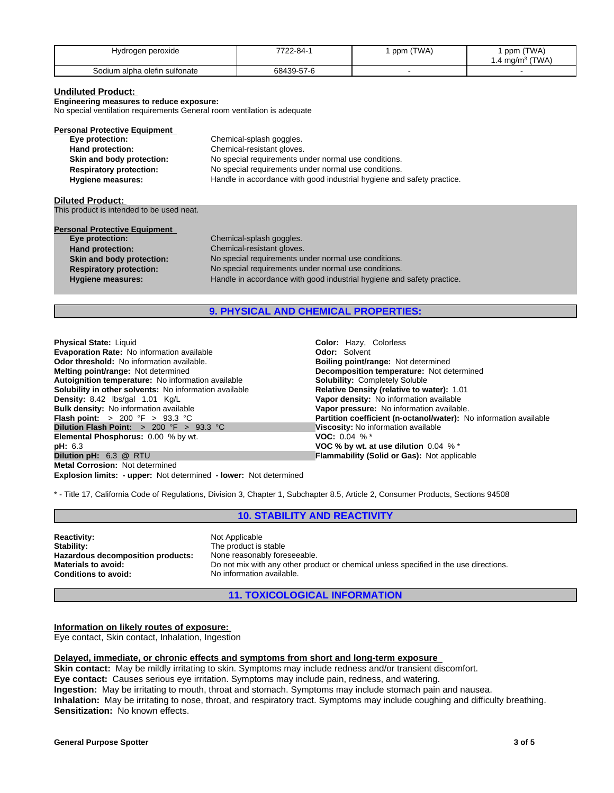| rogen peroxide<br>Hvd         | 7700<br>∕2-84-1 | (TWA)<br>ppm | (TWA)<br>nnm<br>יייש<br><b>TWA</b><br>ma/m∼ ∶<br>1.4 r |
|-------------------------------|-----------------|--------------|--------------------------------------------------------|
| Sodium alpha olefin sulfonate | 68439-57-6      |              |                                                        |

#### **Undiluted Product:**

**Engineering measures to reduce exposure:**

No special ventilation requirements General room ventilation is adequate

| <b>Personal Protective Equipment</b> |                                                                        |
|--------------------------------------|------------------------------------------------------------------------|
| Eye protection:                      | Chemical-splash goggles.                                               |
| Hand protection:                     | Chemical-resistant gloves.                                             |
| Skin and body protection:            | No special requirements under normal use conditions.                   |
| <b>Respiratory protection:</b>       | No special requirements under normal use conditions.                   |
| <b>Hygiene measures:</b>             | Handle in accordance with good industrial hygiene and safety practice. |

#### **Diluted Product:**

This product is intended to be used neat.

| <b>Personal Protective Equipment</b> |                                                                        |
|--------------------------------------|------------------------------------------------------------------------|
| Eye protection:                      | Chemical-splash goggles.                                               |
| <b>Hand protection:</b>              | Chemical-resistant gloves.                                             |
| Skin and body protection:            | No special requirements under normal use conditions.                   |
| <b>Respiratory protection:</b>       | No special requirements under normal use conditions.                   |
| <b>Hygiene measures:</b>             | Handle in accordance with good industrial hygiene and safety practice. |

# **9. PHYSICAL AND CHEMICAL PROPERTIES:**

**Explosion limits: - upper:** Not determined **- lower:** Not determined **Physical State:** Liquid **Color: Hazy, Colorless**<br> **Evaporation Rate:** No information available **Colori Color: Solvent Colori Colori Colori Colori Colori Colori Colori Colori Colori Colori Colori Evaporation Rate: No information available Odor threshold:** No information available. **Boiling point/range: Not determined Melting point/range: Not determined Melting point/range: Not determined Melting point/range: Not determined Autoignition temperature:** No information available **Solubility: Completely Soluble**<br> **Solubility in other solvents:** No information available **Relative Density (relative to water):** 1.01 **Solubility in other solvents: No information available Density:** 8.42 lbs/gal 1.01 Kg/L **Vapor density:** No information available **Bulk density:** No information available **Bulk density:** No information available **Plash point:**  $> 200 \text{ }^{\circ}\text{F} > 93.3 \text{ }^{\circ}\text{C}$ <br> **Dilution Flash Point:**  $> 200 \text{ }^{\circ}\text{F} > 93.3 \text{ }^{\circ}\text{C}$ <br> **Dilution Flash Point:**  $> 200 \text{ }^{\circ}\text{F} > 93.3 \text{ }^{\circ}\text{C}$ <br> **Discosity:** No information available<br> **El Elemental Phosphorus: 0.00 % by wt. pH:** 6.3 **a Phenomenon** *B* **PH:** 6.3 **a Phenomenon** *B* **COC % by wt. at use dilution 0.04 % \* Dilution pH:** 6.3 **@** RTU **Metal Corrosion:** Not determined

**Decomposition temperature:** Not determined **Bulk density:** No information available **Vapor pressure:** No information available. **Partition coefficient (n-octanol/water):** No information available **Flammability (Solid or Gas): Not applicable** 

\* - Title 17, California Code of Regulations, Division 3, Chapter 1, Subchapter 8.5, Article 2, Consumer Products, Sections 94508

# **10. STABILITY AND REACTIVITY**

**Reactivity:** Not Applicable Stability: Not Applicable Stability: **Hazardous decomposition products:**<br>Materials to avoid:

The product is stable<br>None reasonably foreseeable. **Materials to avoid:** Do not mix with any other product or chemical unless specified in the use directions.<br> **Conditions to avoid:** No information available. **Conditions to avoid:** No information available.

**11. TOXICOLOGICAL INFORMATION**

**Information on likely routes of exposure:**  Eye contact, Skin contact, Inhalation, Ingestion

### **Delayed, immediate, or chronic effects and symptoms from short and long-term exposure**

**Skin contact:** May be mildly irritating to skin. Symptoms may include redness and/or transient discomfort. **Eye contact:** Causes serious eye irritation. Symptoms may include pain, redness, and watering. **Ingestion:** May be irritating to mouth, throat and stomach. Symptoms may include stomach pain and nausea. **Inhalation:** May be irritating to nose, throat, and respiratory tract. Symptoms may include coughing and difficulty breathing. **Sensitization:** No known effects.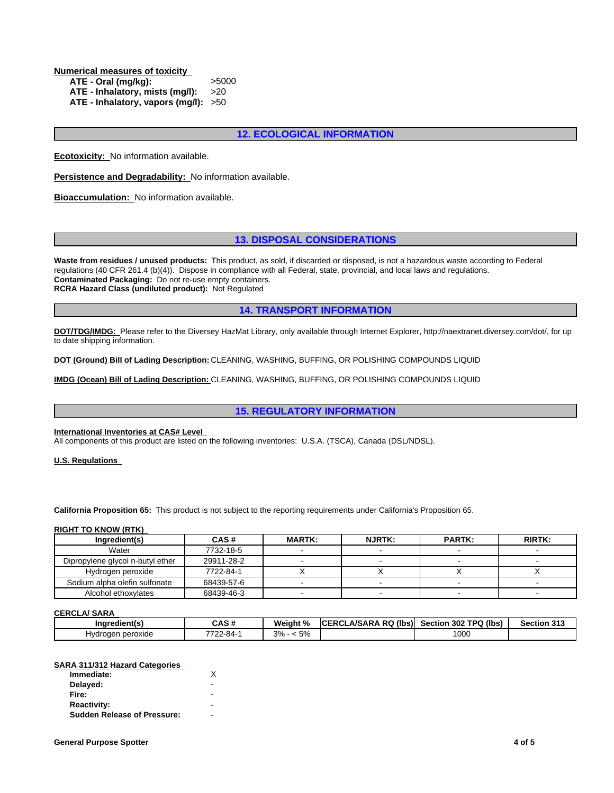**Numerical measures of toxicity** 

| ATE - Oral (mg/kg):                    | >5000 |
|----------------------------------------|-------|
| ATE - Inhalatory, mists $(mg/l): >20$  |       |
| ATE - Inhalatory, vapors (mg/l): $>50$ |       |

# **12. ECOLOGICAL INFORMATION**

**Ecotoxicity:** No information available.

**Persistence and Degradability:** No information available.

**Bioaccumulation:** No information available.

# **13. DISPOSAL CONSIDERATIONS**

**Waste from residues / unused products:** This product, as sold, if discarded or disposed, is not a hazardous waste according to Federal regulations (40 CFR 261.4 (b)(4)). Dispose in compliance with all Federal, state, provincial, and local laws and regulations. **Contaminated Packaging:** Do not re-use empty containers. **RCRA Hazard Class (undiluted product):** Not Regulated

# **14. TRANSPORT INFORMATION**

**DOT/TDG/IMDG:** Please refer to the Diversey HazMat Library, only available through Internet Explorer, http://naextranet.diversey.com/dot/, for up to date shipping information.

**DOT (Ground) Bill of Lading Description:** CLEANING, WASHING, BUFFING, OR POLISHING COMPOUNDS LIQUID

**IMDG (Ocean) Bill of Lading Description:** CLEANING, WASHING, BUFFING, OR POLISHING COMPOUNDS LIQUID

# **15. REGULATORY INFORMATION**

#### **International Inventories at CAS# Level**

All components of this product are listed on the following inventories: U.S.A. (TSCA), Canada (DSL/NDSL).

**U.S. Regulations** 

**California Proposition 65:** This product is not subject to the reporting requirements under California's Proposition 65.

#### **RIGHT TO KNOW (RTK)**

| Ingredient(s)                    | CAS#       | <b>MARTK:</b> | <b>NJRTK:</b> | <b>PARTK:</b> | <b>RIRTK:</b> |
|----------------------------------|------------|---------------|---------------|---------------|---------------|
| Water                            | 7732-18-5  |               |               |               |               |
| Dipropylene glycol n-butyl ether | 29911-28-2 |               |               |               |               |
| Hydrogen peroxide                | 7722-84-1  |               |               |               |               |
| Sodium alpha olefin sulfonate    | 68439-57-6 |               |               |               |               |
| Alcohol ethoxylates              | 68439-46-3 |               |               |               |               |

**CERCLA/ SARA** 

| <b>Indredient(s)</b>  | -44<br>GAS #  | Weight %                                                           | ۰RQ<br><b>A/SARA</b><br>(lbs)<br>ICE<br>ERCL | (lbs<br><b>1302 TPO</b><br>Section<br>$\sim$ | Section 313 |
|-----------------------|---------------|--------------------------------------------------------------------|----------------------------------------------|----------------------------------------------|-------------|
| ∍peroxide<br>Hvdrogen | 7700<br>-2-84 | $-\circ$<br>20/<br>$\mathcal{L}_{\mathcal{L}}$<br>◡ ⁄៶<br><b>U</b> |                                              | 1000                                         |             |

#### **SARA 311/312 Hazard Categories**

| Immediate:                         |                          |  |
|------------------------------------|--------------------------|--|
| Delayed:                           | ۰                        |  |
| Fire:                              | ۰                        |  |
| <b>Reactivity:</b>                 | $\overline{\phantom{0}}$ |  |
| <b>Sudden Release of Pressure:</b> | ۰                        |  |